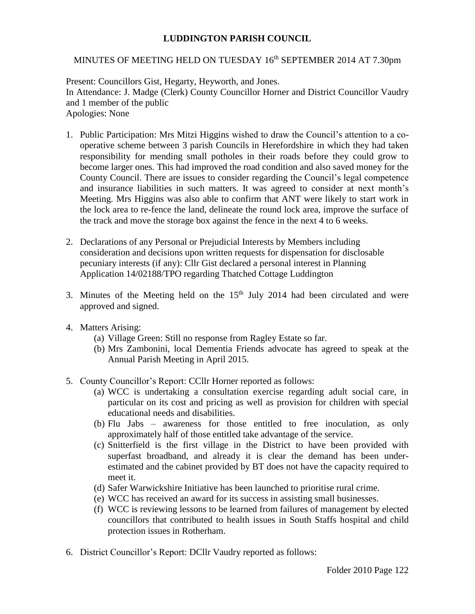## **LUDDINGTON PARISH COUNCIL**

## MINUTES OF MEETING HELD ON TUESDAY 16<sup>th</sup> SEPTEMBER 2014 AT 7.30pm

Present: Councillors Gist, Hegarty, Heyworth, and Jones. In Attendance: J. Madge (Clerk) County Councillor Horner and District Councillor Vaudry and 1 member of the public Apologies: None

- 1. Public Participation: Mrs Mitzi Higgins wished to draw the Council's attention to a cooperative scheme between 3 parish Councils in Herefordshire in which they had taken responsibility for mending small potholes in their roads before they could grow to become larger ones. This had improved the road condition and also saved money for the County Council. There are issues to consider regarding the Council's legal competence and insurance liabilities in such matters. It was agreed to consider at next month's Meeting. Mrs Higgins was also able to confirm that ANT were likely to start work in the lock area to re-fence the land, delineate the round lock area, improve the surface of the track and move the storage box against the fence in the next 4 to 6 weeks.
- 2. Declarations of any Personal or Prejudicial Interests by Members including consideration and decisions upon written requests for dispensation for disclosable pecuniary interests (if any): Cllr Gist declared a personal interest in Planning Application 14/02188/TPO regarding Thatched Cottage Luddington
- 3. Minutes of the Meeting held on the  $15<sup>th</sup>$  July 2014 had been circulated and were approved and signed.
- 4. Matters Arising:
	- (a) Village Green: Still no response from Ragley Estate so far.
	- (b) Mrs Zambonini, local Dementia Friends advocate has agreed to speak at the Annual Parish Meeting in April 2015.
- 5. County Councillor's Report: CCllr Horner reported as follows:
	- (a) WCC is undertaking a consultation exercise regarding adult social care, in particular on its cost and pricing as well as provision for children with special educational needs and disabilities.
	- (b) Flu Jabs awareness for those entitled to free inoculation, as only approximately half of those entitled take advantage of the service.
	- (c) Snitterfield is the first village in the District to have been provided with superfast broadband, and already it is clear the demand has been underestimated and the cabinet provided by BT does not have the capacity required to meet it.
	- (d) Safer Warwickshire Initiative has been launched to prioritise rural crime.
	- (e) WCC has received an award for its success in assisting small businesses.
	- (f) WCC is reviewing lessons to be learned from failures of management by elected councillors that contributed to health issues in South Staffs hospital and child protection issues in Rotherham.
- 6. District Councillor's Report: DCllr Vaudry reported as follows: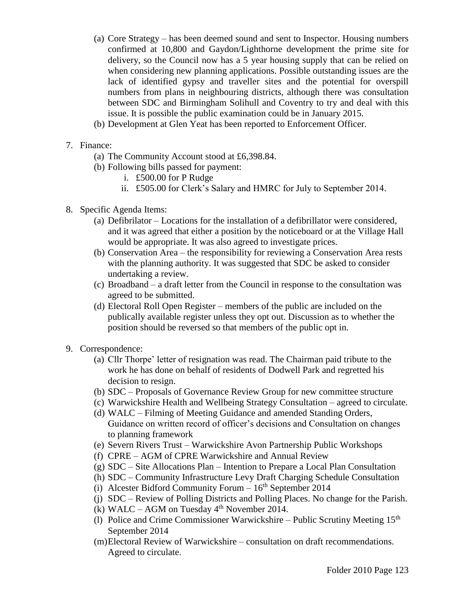- (a) Core Strategy has been deemed sound and sent to Inspector. Housing numbers confirmed at 10,800 and Gaydon/Lighthorne development the prime site for delivery, so the Council now has a 5 year housing supply that can be relied on when considering new planning applications. Possible outstanding issues are the lack of identified gypsy and traveller sites and the potential for overspill numbers from plans in neighbouring districts, although there was consultation between SDC and Birmingham Solihull and Coventry to try and deal with this issue. It is possible the public examination could be in January 2015.
- (b) Development at Glen Yeat has been reported to Enforcement Officer.
- 7. Finance:
	- (a) The Community Account stood at £6,398.84.
	- (b) Following bills passed for payment:
		- i. £500.00 for P Rudge
		- ii. £505.00 for Clerk's Salary and HMRC for July to September 2014.
- 8. Specific Agenda Items:
	- (a) Defibrilator Locations for the installation of a defibrillator were considered, and it was agreed that either a position by the noticeboard or at the Village Hall would be appropriate. It was also agreed to investigate prices.
	- (b) Conservation Area the responsibility for reviewing a Conservation Area rests with the planning authority. It was suggested that SDC be asked to consider undertaking a review.
	- (c) Broadband a draft letter from the Council in response to the consultation was agreed to be submitted.
	- (d) Electoral Roll Open Register members of the public are included on the publically available register unless they opt out. Discussion as to whether the position should be reversed so that members of the public opt in.
- 9. Correspondence:
	- (a) Cllr Thorpe' letter of resignation was read. The Chairman paid tribute to the work he has done on behalf of residents of Dodwell Park and regretted his decision to resign.
	- (b) SDC Proposals of Governance Review Group for new committee structure
	- (c) Warwickshire Health and Wellbeing Strategy Consultation agreed to circulate.
	- (d) WALC Filming of Meeting Guidance and amended Standing Orders, Guidance on written record of officer's decisions and Consultation on changes to planning framework
	- (e) Severn Rivers Trust Warwickshire Avon Partnership Public Workshops
	- (f) CPRE AGM of CPRE Warwickshire and Annual Review
	- (g) SDC Site Allocations Plan Intention to Prepare a Local Plan Consultation
	- (h) SDC Community Infrastructure Levy Draft Charging Schedule Consultation
	- (i) Alcester Bidford Community Forum  $-16<sup>th</sup>$  September 2014
	- (j) SDC Review of Polling Districts and Polling Places. No change for the Parish.
	- (k) WALC AGM on Tuesday  $4<sup>th</sup>$  November 2014.
	- (l) Police and Crime Commissioner Warwickshire Public Scrutiny Meeting  $15<sup>th</sup>$ September 2014
	- (m)Electoral Review of Warwickshire consultation on draft recommendations. Agreed to circulate.